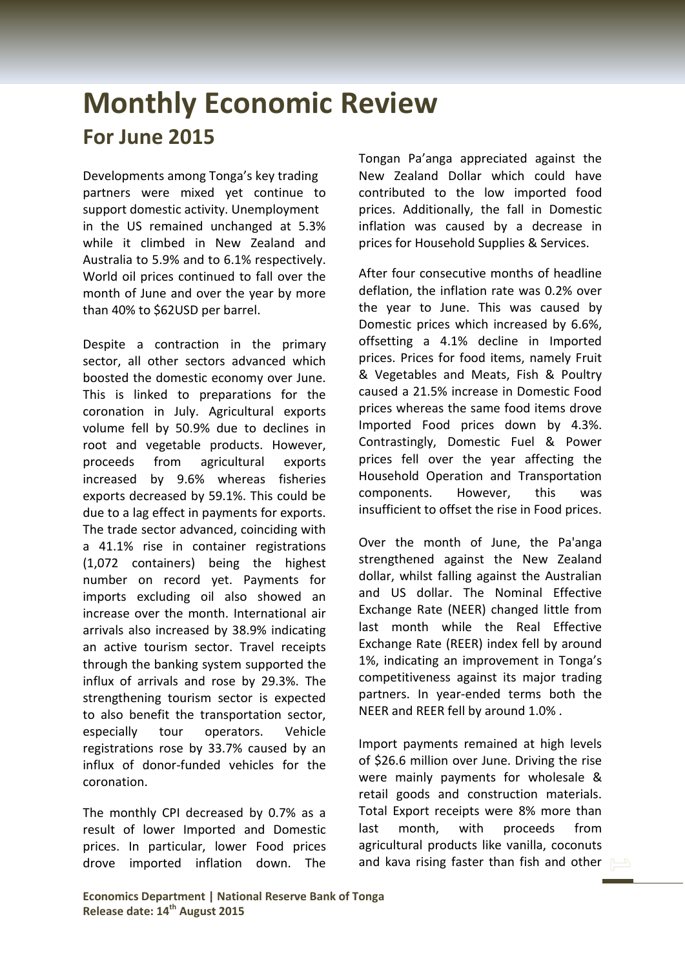## **Monthly Economic Review For June 2015**

Developments among Tonga's key trading partners were mixed yet continue to support domestic activity. Unemployment in the US remained unchanged at 5.3% while it climbed in New Zealand and Australia to 5.9% and to 6.1% respectively. World oil prices continued to fall over the month of June and over the year by more than 40% to \$62USD per barrel.

Despite a contraction in the primary sector, all other sectors advanced which boosted the domestic economy over June. This is linked to preparations for the coronation in July. Agricultural exports volume fell by 50.9% due to declines in root and vegetable products. However, proceeds from agricultural exports increased by 9.6% whereas fisheries exports decreased by 59.1%. This could be due to a lag effect in payments for exports. The trade sector advanced, coinciding with a 41.1% rise in container registrations (1,072 containers) being the highest number on record yet. Payments for imports excluding oil also showed an increase over the month. International air arrivals also increased by 38.9% indicating an active tourism sector. Travel receipts through the banking system supported the influx of arrivals and rose by 29.3%. The strengthening tourism sector is expected to also benefit the transportation sector, especially tour operators. Vehicle registrations rose by 33.7% caused by an influx of donor-funded vehicles for the coronation.

The monthly CPI decreased by 0.7% as a result of lower Imported and Domestic prices. In particular, lower Food prices drove imported inflation down. The

Tongan Pa'anga appreciated against the New Zealand Dollar which could have contributed to the low imported food prices. Additionally, the fall in Domestic inflation was caused by a decrease in prices for Household Supplies & Services.

After four consecutive months of headline deflation, the inflation rate was 0.2% over the year to June. This was caused by Domestic prices which increased by 6.6%, offsetting a 4.1% decline in Imported prices. Prices for food items, namely Fruit & Vegetables and Meats, Fish & Poultry caused a 21.5% increase in Domestic Food prices whereas the same food items drove Imported Food prices down by 4.3%. Contrastingly, Domestic Fuel & Power prices fell over the year affecting the Household Operation and Transportation components. However, this was insufficient to offset the rise in Food prices.

Over the month of June, the Pa'anga strengthened against the New Zealand dollar, whilst falling against the Australian and US dollar. The Nominal Effective Exchange Rate (NEER) changed little from last month while the Real Effective Exchange Rate (REER) index fell by around 1%, indicating an improvement in Tonga's competitiveness against its major trading partners. In year-ended terms both the NEER and REER fell by around 1.0% .

Import payments remained at high levels of \$26.6 million over June. Driving the rise were mainly payments for wholesale & retail goods and construction materials. Total Export receipts were 8% more than last month, with proceeds from agricultural products like vanilla, coconuts and kava rising faster than fish and other  $\Box$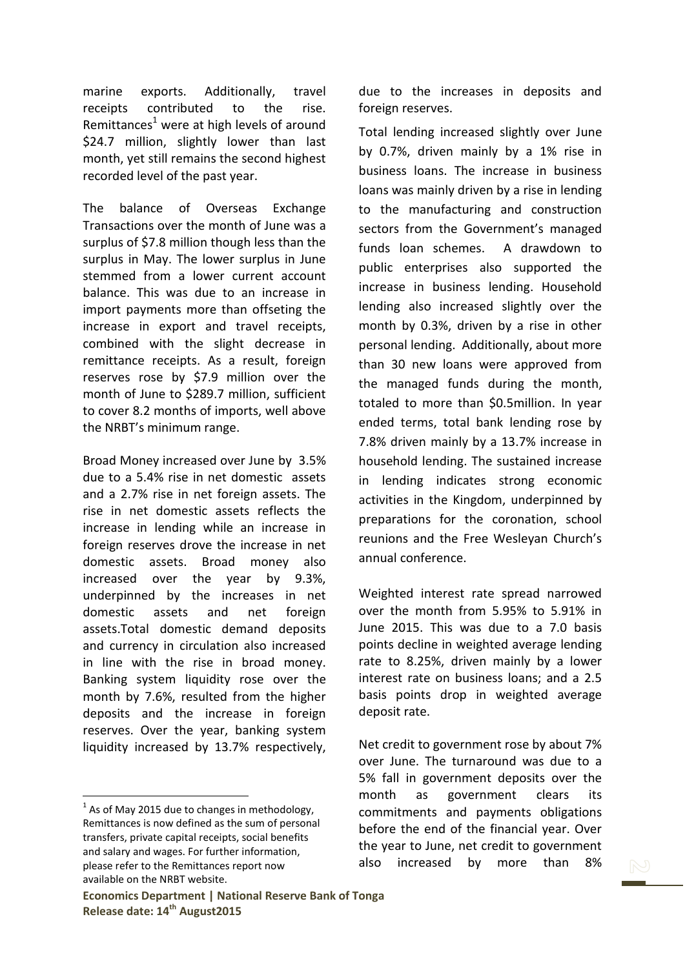marine exports. Additionally, travel receipts contributed to the rise. Remittances<sup>1</sup> were at high levels of around \$24.7 million, slightly lower than last month, yet still remains the second highest recorded level of the past year.

The balance of Overseas Exchange Transactions over the month of June was a surplus of \$7.8 million though less than the surplus in May. The lower surplus in June stemmed from a lower current account balance. This was due to an increase in import payments more than offseting the increase in export and travel receipts, combined with the slight decrease in remittance receipts. As a result, foreign reserves rose by \$7.9 million over the month of June to \$289.7 million, sufficient to cover 8.2 months of imports, well above the NRBT's minimum range.

Broad Money increased over June by 3.5% due to a 5.4% rise in net domestic assets and a 2.7% rise in net foreign assets. The rise in net domestic assets reflects the increase in lending while an increase in foreign reserves drove the increase in net domestic assets. Broad money also increased over the year by 9.3%, underpinned by the increases in net domestic assets and net foreign assets.Total domestic demand deposits and currency in circulation also increased in line with the rise in broad money. Banking system liquidity rose over the month by 7.6%, resulted from the higher deposits and the increase in foreign reserves. Over the year, banking system liquidity increased by 13.7% respectively,

 $<sup>1</sup>$  As of May 2015 due to changes in methodology,</sup> Remittances is now defined as the sum of personal transfers, private capital receipts, social benefits and salary and wages. For further information, please refer to the Remittances report now available on the NRBT website.

**.** 

due to the increases in deposits and foreign reserves.

Total lending increased slightly over June by 0.7%, driven mainly by a 1% rise in business loans. The increase in business loans was mainly driven by a rise in lending to the manufacturing and construction sectors from the Government's managed funds loan schemes. A drawdown to public enterprises also supported the increase in business lending. Household lending also increased slightly over the month by 0.3%, driven by a rise in other personal lending. Additionally, about more than 30 new loans were approved from the managed funds during the month, totaled to more than \$0.5million. In year ended terms, total bank lending rose by 7.8% driven mainly by a 13.7% increase in household lending. The sustained increase in lending indicates strong economic activities in the Kingdom, underpinned by preparations for the coronation, school reunions and the Free Wesleyan Church's annual conference.

Weighted interest rate spread narrowed over the month from 5.95% to 5.91% in June 2015. This was due to a 7.0 basis points decline in weighted average lending rate to 8.25%, driven mainly by a lower interest rate on business loans; and a 2.5 basis points drop in weighted average deposit rate.

Net credit to government rose by about 7% over June. The turnaround was due to a 5% fall in government deposits over the month as government clears its commitments and payments obligations before the end of the financial year. Over the year to June, net credit to government also increased by more than 8%

**Economics Department | National Reserve Bank of Tonga Release date: 14 th August2015**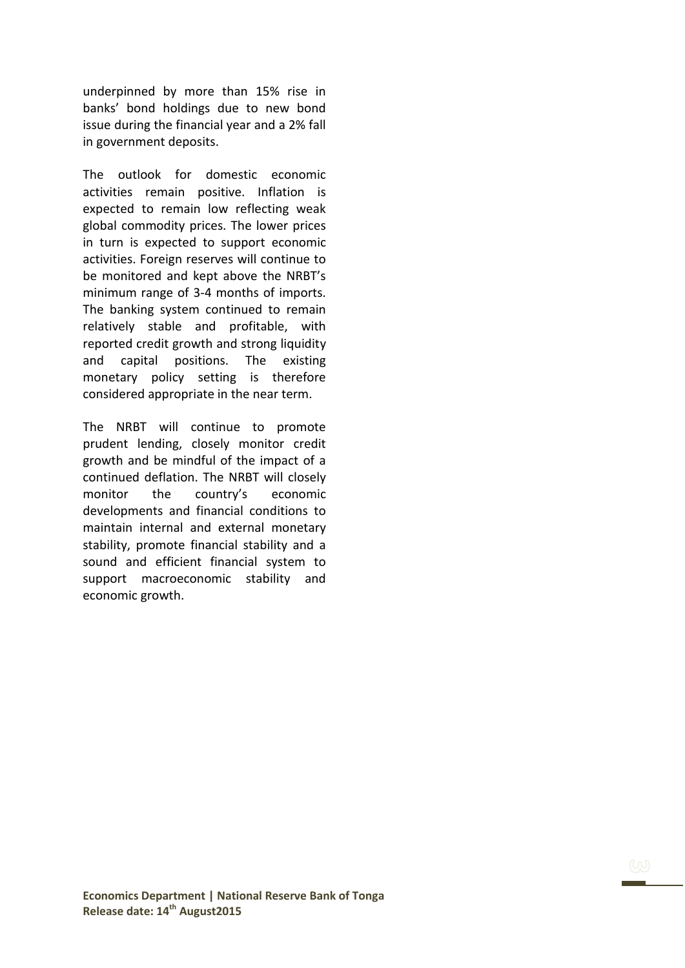underpinned by more than 15% rise in banks' bond holdings due to new bond issue during the financial year and a 2% fall in government deposits.

The outlook for domestic economic activities remain positive. Inflation is expected to remain low reflecting weak global commodity prices. The lower prices in turn is expected to support economic activities. Foreign reserves will continue to be monitored and kept above the NRBT's minimum range of 3-4 months of imports. The banking system continued to remain relatively stable and profitable, with reported credit growth and strong liquidity and capital positions. The existing monetary policy setting is therefore considered appropriate in the near term.

The NRBT will continue to promote prudent lending, closely monitor credit growth and be mindful of the impact of a continued deflation. The NRBT will closely monitor the country's economic developments and financial conditions to maintain internal and external monetary stability, promote financial stability and a sound and efficient financial system to support macroeconomic stability and economic growth.